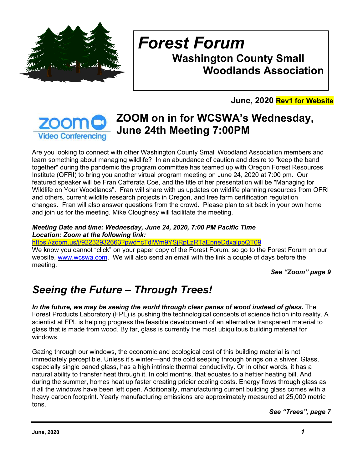

# *Forest Forum*  **Washington County Small Woodlands Association**

**June, 2020 Rev1 for Website**

#### **ZOOM on in for WCSWA's Wednesday, ZOOM June 24th Meeting 7:00PM Video Conferencing**

Are you looking to connect with other Washington County Small Woodland Association members and learn something about managing wildlife? In an abundance of caution and desire to "keep the band together" during the pandemic the program committee has teamed up with Oregon Forest Resources Institute (OFRI) to bring you another virtual program meeting on June 24, 2020 at 7:00 pm. Our featured speaker will be Fran Cafferata Coe, and the title of her presentation will be "Managing for Wildlife on Your Woodlands". Fran will share with us updates on wildlife planning resources from OFRI and others, current wildlife research projects in Oregon, and tree farm certification regulation changes. Fran will also answer questions from the crowd. Please plan to sit back in your own home and join us for the meeting. Mike Cloughesy will facilitate the meeting.

#### *Meeting Date and time: Wednesday, June 24, 2020, 7:00 PM Pacific Time Location: Zoom at the following link:*

https://zoom.us/j/92232932663?pwd=cTdlWm9YSjRpLzRTaEpneDdxalppQT09

We know you cannot "click" on your paper copy of the Forest Forum, so go to the Forest Forum on our website, www.wcswa.com. We will also send an email with the link a couple of days before the meeting.

*See "Zoom" page 9* 

# *Seeing the Future – Through Trees!*

*In the future, we may be seeing the world through clear panes of wood instead of glass.* The Forest Products Laboratory (FPL) is pushing the technological concepts of science fiction into reality. A scientist at FPL is helping progress the feasible development of an alternative transparent material to glass that is made from wood. By far, glass is currently the most ubiquitous building material for windows.

Gazing through our windows, the economic and ecological cost of this building material is not immediately perceptible. Unless it's winter—and the cold seeping through brings on a shiver. Glass, especially single paned glass, has a high intrinsic thermal conductivity. Or in other words, it has a natural ability to transfer heat through it. In cold months, that equates to a heftier heating bill. And during the summer, homes heat up faster creating pricier cooling costs. Energy flows through glass as if all the windows have been left open. Additionally, manufacturing current building glass comes with a heavy carbon footprint. Yearly manufacturing emissions are approximately measured at 25,000 metric tons.

*See "Trees", page 7*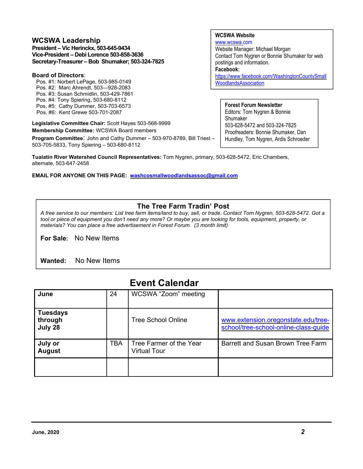#### **WCSWA Leadership**

**President – Vic Herinckx, 503-645-9434 Vice-President – Debi Lorence 503-858-3636 Secretary-Treasurer – Bob Shumaker; 503-324-7825** 

#### **Board of Directors**:

- Pos. #1: Norbert LePage, 503-985-0149
- Pos. #2: Marc Ahrendt, 503—928-2083
- Pos. #3: Susan Schmidlin, 503-429-7861
- Pos. #4: Tony Spiering, 503-680-8112
- Pos. #5: Cathy Dummer, 503-703-6573 Pos. #6: Kent Grewe 503-701-2087
- 

**Legislative Committee Chair:** Scott Hayes 503-568-9999 **Membership Committee:** WCSWA Board members

**Program Committee**: John and Cathy Dummer – 503-970-8789, Bill Triest – 503-705-5833, Tony Spiering – 503-680-8112

**Tualatin River Watershed Council Representatives:** Tom Nygren, primary, 503-628-5472, Eric Chambers, alternate, 503-647-2458

**EMAIL FOR ANYONE ON THIS PAGE: washcosmallwoodlandsassoc@gmail.com** 

#### **WCSWA Website**

www.wcswa.com Website Manager: Michael Morgan Contact Tom Nygren or Bonnie Shumaker for web postings and information. **Facebook:** https://www.facebook.com/WashingtonCountySmall WoodlandsAssociation

**Forest Forum Newsletter** Editors: Tom Nygren & Bonnie Shumaker 503-628-5472 and 503-324-7825 Proofreaders: Bonnie Shumaker, Dan Hundley, Tom Nygren, Ardis Schroeder

#### **The Tree Farm Tradin' Post**

*A free service to our members: List tree farm items/land to buy, sell, or trade. Contact Tom Nygren, 503-628-5472. Got a tool or piece of equipment you don't need any more? Or maybe you are looking for tools, equipment, property, or materials? You can place a free advertisement in Forest Forum. (3 month limit)* 

**For Sale:** No New Items

**Wanted:** No New Items

| June                                  | 24         | WCSWA "Zoom" meeting                    |                                                                              |
|---------------------------------------|------------|-----------------------------------------|------------------------------------------------------------------------------|
| <b>Tuesdays</b><br>through<br>July 28 |            | Tree School Online                      | www.extension.oregonstate.edu/tree-<br>school/tree-school-online-class-guide |
| July or<br><b>August</b>              | <b>TBA</b> | Tree Farmer of the Year<br>Virtual Tour | Barrett and Susan Brown Tree Farm                                            |
|                                       |            |                                         |                                                                              |

#### **Event Calendar**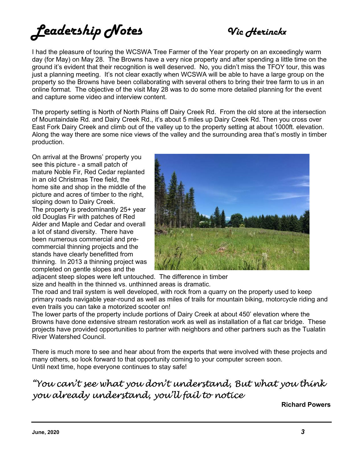# *Leadership Notes Vic Herinckx*

I had the pleasure of touring the WCSWA Tree Farmer of the Year property on an exceedingly warm day (for May) on May 28. The Browns have a very nice property and after spending a little time on the ground it's evident that their recognition is well deserved. No, you didn't miss the TFOY tour, this was just a planning meeting. It's not clear exactly when WCSWA will be able to have a large group on the property so the Browns have been collaborating with several others to bring their tree farm to us in an online format. The objective of the visit May 28 was to do some more detailed planning for the event and capture some video and interview content.

The property setting is North of North Plains off Dairy Creek Rd. From the old store at the intersection of Mountaindale Rd. and Dairy Creek Rd., it's about 5 miles up Dairy Creek Rd. Then you cross over East Fork Dairy Creek and climb out of the valley up to the property setting at about 1000ft. elevation. Along the way there are some nice views of the valley and the surrounding area that's mostly in timber production.

On arrival at the Browns' property you see this picture - a small patch of mature Noble Fir, Red Cedar replanted in an old Christmas Tree field, the home site and shop in the middle of the picture and acres of timber to the right, sloping down to Dairy Creek. The property is predominantly 25+ year old Douglas Fir with patches of Red Alder and Maple and Cedar and overall a lot of stand diversity. There have been numerous commercial and precommercial thinning projects and the stands have clearly benefitted from thinning. In 2013 a thinning project was completed on gentle slopes and the



adjacent steep slopes were left untouched. The difference in timber size and health in the thinned vs. unthinned areas is dramatic.

The road and trail system is well developed, with rock from a quarry on the property used to keep primary roads navigable year-round as well as miles of trails for mountain biking, motorcycle riding and even trails you can take a motorized scooter on!

The lower parts of the property include portions of Dairy Creek at about 450' elevation where the Browns have done extensive stream restoration work as well as installation of a flat car bridge. These projects have provided opportunities to partner with neighbors and other partners such as the Tualatin River Watershed Council.

There is much more to see and hear about from the experts that were involved with these projects and many others, so look forward to that opportunity coming to your computer screen soon. Until next time, hope everyone continues to stay safe!

"You can't see what you don't understand, But what you think you already understand, you'll fail to notice

**Richard Powers**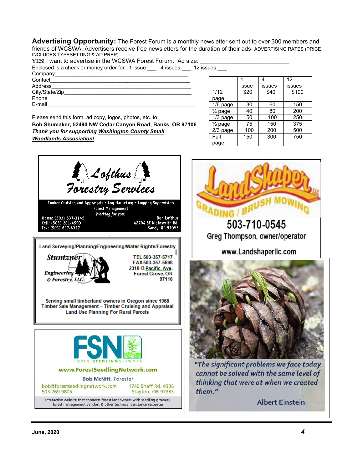**Advertising Opportunity:** The Forest Forum is a monthly newsletter sent out to over 300 members and friends of WCSWA. Advertisers receive free newsletters for the duration of their ads. ADVERTISING RATES (PRICE INCLUDES TYPESETTING & AD PREP)

YES! I want to advertise in the WCSWA Forest Forum. Ad size:

| Enclosed is a check or money order for: 1 issue __ | 4 issues   12 issues |  |
|----------------------------------------------------|----------------------|--|
|                                                    |                      |  |

| Company        |  |
|----------------|--|
| Contact        |  |
| Address        |  |
| City/State/Zip |  |
| Phone          |  |
| E-mail         |  |

Please send this form, ad copy, logos, photos, etc. to: **Bob Shumaker, 52490 NW Cedar Canyon Road, Banks, OR 97106**  *Thank you for supporting Washington County Small Woodlands Association!* 

|                    |       |        | 12     |
|--------------------|-------|--------|--------|
|                    | issue | issues | issues |
| 1/12               | \$20  | \$40   | \$100  |
| page               |       |        |        |
| $1/6$ page         | 30    | 60     | 150    |
| $\frac{1}{4}$ page | 40    | 80     | 200    |
| $1/3$ page         | 50    | 100    | 250    |
| $\frac{1}{2}$ page | 75    | 150    | 375    |
| 2/3 page           | 100   | 200    | 500    |
| Full               | 150   | 300    | 750    |
| page               |       |        |        |





thinking that were at when we created them."

**Albert Einstein**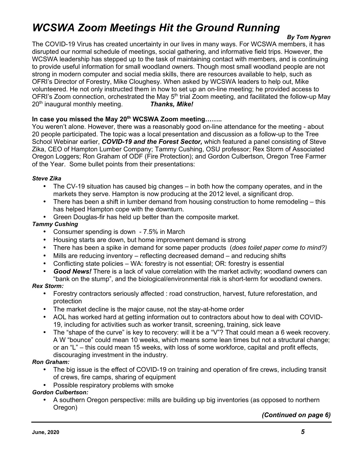# *WCSWA Zoom Meetings Hit the Ground Running*

#### *By Tom Nygren*

The COVID-19 Virus has created uncertainty in our lives in many ways. For WCSWA members, it has disrupted our normal schedule of meetings, social gathering, and informative field trips. However, the WCSWA leadership has stepped up to the task of maintaining contact with members, and is continuing to provide useful information for small woodland owners. Though most small woodland people are not strong in modern computer and social media skills, there are resources available to help, such as OFRI's Director of Forestry, Mike Cloughesy. When asked by WCSWA leaders to help out, Mike volunteered. He not only instructed them in how to set up an on-line meeting; he provided access to OFRI's Zoom connection, orchestrated the May 5<sup>th</sup> trial Zoom meeting, and facilitated the follow-up May 20th inaugural monthly meeting. *Thanks, Mike!*

#### **In case you missed the May 20th WCSWA Zoom meeting……..**

You weren't alone. However, there was a reasonably good on-line attendance for the meeting - about 20 people participated. The topic was a local presentation and discussion as a follow-up to the Tree School Webinar earlier, *COVID-19 and the Forest Sector,* which featured a panel consisting of Steve Zika, CEO of Hampton Lumber Company; Tammy Cushing, OSU professor; Rex Storm of Associated Oregon Loggers; Ron Graham of ODF (Fire Protection); and Gordon Culbertson, Oregon Tree Farmer of the Year. Some bullet points from their presentations:

#### *Steve Zika*

- The CV-19 situation has caused big changes in both how the company operates, and in the markets they serve. Hampton is now producing at the 2012 level, a significant drop.
- There has been a shift in lumber demand from housing construction to home remodeling this has helped Hampton cope with the downturn.
- Green Douglas-fir has held up better than the composite market.

#### *Tammy Cushing*

- Consumer spending is down 7.5% in March
- Housing starts are down, but home improvement demand is strong
- There has been a spike in demand for some paper products (*does toilet paper come to mind?)*
- Mills are reducing inventory reflecting decreased demand and reducing shifts
- Conflicting state policies WA: forestry is not essential; OR: forestry is essential
- *Good News!* There is a lack of value correlation with the market activity; woodland owners can "bank on the stump", and the biological/environmental risk is short-term for woodland owners.

#### *Rex Storm:*

- Forestry contractors seriously affected : road construction, harvest, future reforestation, and protection
- The market decline is the major cause, not the stay-at-home order
- AOL has worked hard at getting information out to contractors about how to deal with COVID-19, including for activities such as worker transit, screening, training, sick leave
- The "shape of the curve" is key to recovery: will it be a "V"? That could mean a 6 week recovery. A W "bounce" could mean 10 weeks, which means some lean times but not a structural change; or an "L" – this could mean 15 weeks, with loss of some workforce, capital and profit effects, discouraging investment in the industry.

#### *Ron Graham:*

- The big issue is the effect of COVID-19 on training and operation of fire crews, including transit of crews, fire camps, sharing of equipment
- Possible respiratory problems with smoke

#### *Gordon Culbertson:*

• A southern Oregon perspective: mills are building up big inventories (as opposed to northern Oregon)

*(Continued on page 6)*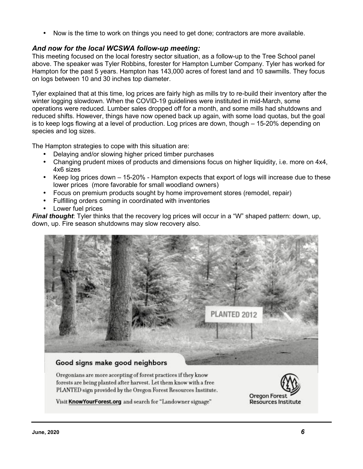• Now is the time to work on things you need to get done; contractors are more available.

#### *And now for the local WCSWA follow-up meeting:*

This meeting focused on the local forestry sector situation, as a follow-up to the Tree School panel above. The speaker was Tyler Robbins, forester for Hampton Lumber Company. Tyler has worked for Hampton for the past 5 years. Hampton has 143,000 acres of forest land and 10 sawmills. They focus on logs between 10 and 30 inches top diameter.

Tyler explained that at this time, log prices are fairly high as mills try to re-build their inventory after the winter logging slowdown. When the COVID-19 guidelines were instituted in mid-March, some operations were reduced. Lumber sales dropped off for a month, and some mills had shutdowns and reduced shifts. However, things have now opened back up again, with some load quotas, but the goal is to keep logs flowing at a level of production. Log prices are down, though – 15-20% depending on species and log sizes.

The Hampton strategies to cope with this situation are:

- Delaying and/or slowing higher priced timber purchases
- Changing prudent mixes of products and dimensions focus on higher liquidity, i.e. more on 4x4, 4x6 sizes
- Keep log prices down 15-20% Hampton expects that export of logs will increase due to these lower prices (more favorable for small woodland owners)
- Focus on premium products sought by home improvement stores (remodel, repair)
- Fulfilling orders coming in coordinated with inventories
- Lower fuel prices

*Final thought*: Tyler thinks that the recovery log prices will occur in a "W" shaped pattern: down, up, down, up. Fire season shutdowns may slow recovery also.



#### Good signs make good neighbors

Oregonians are more accepting of forest practices if they know forests are being planted after harvest. Let them know with a free PLANTED sign provided by the Oregon Forest Resources Institute.



Visit KnowYourForest.org and search for "Landowner signage"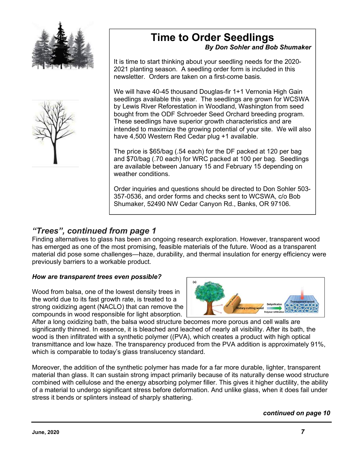



### **Time to Order Seedlings**

#### *By Don Sohler and Bob Shumaker*

It is time to start thinking about your seedling needs for the 2020- 2021 planting season. A seedling order form is included in this newsletter. Orders are taken on a first-come basis.

We will have 40-45 thousand Douglas-fir 1+1 Vernonia High Gain seedlings available this year. The seedlings are grown for WCSWA by Lewis River Reforestation in Woodland, Washington from seed bought from the ODF Schroeder Seed Orchard breeding program. These seedlings have superior growth characteristics and are intended to maximize the growing potential of your site. We will also have 4,500 Western Red Cedar plug +1 available.

The price is \$65/bag (.54 each) for the DF packed at 120 per bag and \$70/bag (.70 each) for WRC packed at 100 per bag. Seedlings are available between January 15 and February 15 depending on weather conditions.

Order inquiries and questions should be directed to Don Sohler 503- 357-0536, and order forms and checks sent to WCSWA, c/o Bob Shumaker, 52490 NW Cedar Canyon Rd., Banks, OR 97106.

#### *"Trees", continued from page 1*

Finding alternatives to glass has been an ongoing research exploration. However, transparent wood has emerged as one of the most promising, feasible materials of the future. Wood as a transparent material did pose some challenges—haze, durability, and thermal insulation for energy efficiency were previously barriers to a workable product.

#### *How are transparent trees even possible?*

Wood from balsa, one of the lowest density trees in the world due to its fast growth rate, is treated to a strong oxidizing agent (NACLO) that can remove the compounds in wood responsible for light absorption.



After a long oxidizing bath, the balsa wood structure becomes more porous and cell walls are significantly thinned. In essence, it is bleached and leached of nearly all visibility. After its bath, the wood is then infiltrated with a synthetic polymer ((PVA), which creates a product with high optical transmittance and low haze. The transparency produced from the PVA addition is approximately 91%, which is comparable to today's glass translucency standard.

Moreover, the addition of the synthetic polymer has made for a far more durable, lighter, transparent material than glass. It can sustain strong impact primarily because of its naturally dense wood structure combined with cellulose and the energy absorbing polymer filler. This gives it higher ductility, the ability of a material to undergo significant stress before deformation. And unlike glass, when it does fail under stress it bends or splinters instead of sharply shattering.

#### *continued on page 10*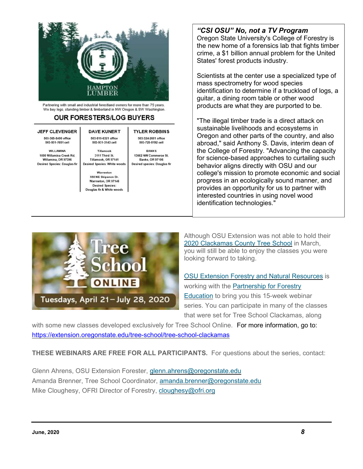

Partnering with small and industrial forestland owners for more than 75 years. We buy logs, standing timber & timberland in NW Oregon & SW Washington.

#### **OUR FORESTERS/LOG BUYERS**

#### **JEFF CLEVENGER**

503-365-8400 office 503-931-7651 cell

**WILLAMINA** 1000 Willamina Creek Rd. Willamina, OR 97396 **Desired Species: Douglas fir** 

503-815-6321 office 503-931-3143 cell Tillamook 3111 Third St. Tillamook, OR 97141

**DAVE KUNERT** 

Warrenton 550 NE Skipanon Dr Warrneton, OR 97146 **Desired Species:** Douglas fir & White woods

**Desired Species: White woods** 

**TYLER ROBBINS** 503-324-2681 office 503-728-8192 cell

**BANKS** 13662 NW Commerce St. **Banks, OR 97106 Desired species: Douglas fir** 

#### *"CSI OSU" No, not a TV Program*

Oregon State University's College of Forestry is the new home of a forensics lab that fights timber crime, a \$1 billion annual problem for the United States' forest products industry.

Scientists at the center use a specialized type of mass spectrometry for wood species identification to determine if a truckload of logs, a guitar, a dining room table or other wood products are what they are purported to be.

"The illegal timber trade is a direct attack on sustainable livelihoods and ecosystems in Oregon and other parts of the country, and also abroad," said Anthony S. Davis, interim dean of the College of Forestry. "Advancing the capacity for science-based approaches to curtailing such behavior aligns directly with OSU and our college's mission to promote economic and social progress in an ecologically sound manner, and provides an opportunity for us to partner with interested countries in using novel wood identification technologies."



Although OSU Extension was not able to hold their 2020 Clackamas County Tree School in March, you will still be able to enjoy the classes you were looking forward to taking.

OSU Extension Forestry and Natural Resources is working with the Partnership for Forestry Education to bring you this 15-week webinar series. You can participate in many of the classes that were set for Tree School Clackamas, along

with some new classes developed exclusively for Tree School Online. For more information, go to: https://extension.oregonstate.edu/tree-school/tree-school-clackamas

**THESE WEBINARS ARE FREE FOR ALL PARTICIPANTS.** For questions about the series, contact:

Glenn Ahrens, OSU Extension Forester, glenn.ahrens@oregonstate.edu Amanda Brenner, Tree School Coordinator, amanda.brenner@oregonstate.edu Mike Cloughesy, OFRI Director of Forestry, cloughesy@ofri.org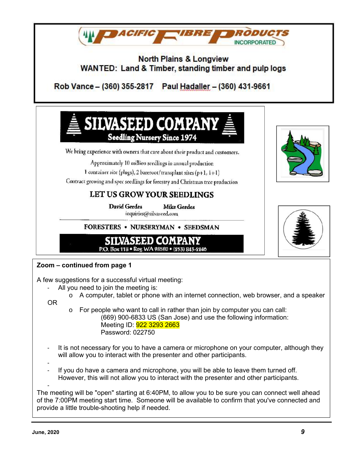

- (669) 900-6833 US (San Jose) and use the following information: Meeting ID: **922 3293 2663** Password: 022750
- It is not necessary for you to have a camera or microphone on your computer, although they will allow you to interact with the presenter and other participants.
- -
- If you do have a camera and microphone, you will be able to leave them turned off. However, this will not allow you to interact with the presenter and other participants.

- The meeting will be "open" starting at 6:40PM, to allow you to be sure you can connect well ahead of the 7:00PM meeting start time. Someone will be available to confirm that you've connected and provide a little trouble-shooting help if needed.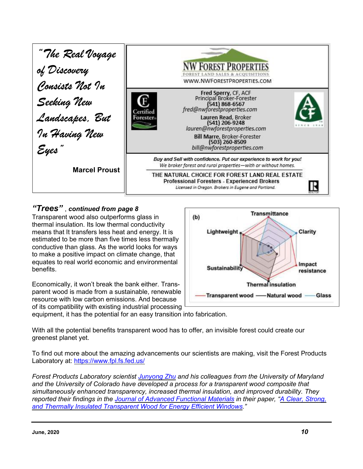

#### *"Trees"* , *continued from page 8*

Transparent wood also outperforms glass in thermal insulation. Its low thermal conductivity means that It transfers less heat and energy. It is estimated to be more than five times less thermally conductive than glass. As the world looks for ways to make a positive impact on climate change, that equates to real world economic and environmental benefits.

Economically, it won't break the bank either. Transparent wood is made from a sustainable, renewable resource with low carbon emissions. And because of its compatibility with existing industrial processing



equipment, it has the potential for an easy transition into fabrication.

With all the potential benefits transparent wood has to offer, an invisible forest could create our greenest planet yet.

To find out more about the amazing advancements our scientists are making, visit the Forest Products Laboratory at: https://www.fpl.fs.fed.us/

*Forest Products Laboratory scientist Junyong Zhu and his colleagues from the University of Maryland and the University of Colorado have developed a process for a transparent wood composite that simultaneously enhanced transparency, increased thermal insulation, and improved durability. They reported their findings in the Journal of Advanced Functional Materials in their paper, "A Clear, Strong, and Thermally Insulated Transparent Wood for Energy Efficient Windows."*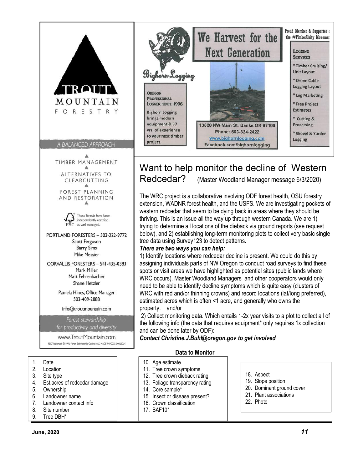

Want to help monitor the decline of Western Redcedar? (Master Woodland Manager message 6/3/2020)

The WRC project is a collaborative involving ODF forest health, OSU forestry extension, WADNR forest health, and the USFS. We are investigating pockets of western redcedar that seem to be dying back in areas where they should be thriving. This is an issue all the way up through western Canada. We are 1) trying to determine all locations of the dieback via ground reports (see request below), and 2) establishing long-term monitoring plots to collect very basic single tree data using Survey123 to detect patterns.

#### *There are two ways you can help:*

1) Identify locations where redcedar decline is present. We could do this by assigning individuals parts of NW Oregon to conduct road surveys to find these spots or visit areas we have highlighted as potential sites (public lands where WRC occurs). Master Woodland Managers and other cooperators would only need to be able to identify decline symptoms which is quite easy (clusters of WRC with red and/or thinning crowns) and record locations (lat/long preferred), estimated acres which is often <1 acre, and generally who owns the property. and/or

 2) Collect monitoring data. Which entails 1-2x year visits to a plot to collect all of the following info (the data that requires equipment\* only requires 1x collection and can be done later by ODF):

*Contact Christine.J.Buhl@oregon.gov to get involved* 

#### **Data to Monitor**

- 10. Age estimate
- 11. Tree crown symptoms
- 12. Tree crown dieback rating
- 13. Foliage transparency rating
- 14. Core sample\*
- 15. Insect or disease present?
- 16. Crown classification
- 17. BAF10\*

#### 18. Aspect

- 19. Slope position
- 20. Dominant ground cover
- 21. Plant associations
- 22. Photo
- 1. Date
- 2. Location
- 3. Site type
- 4. Est.acres of redcedar damage

CLEARCUTTING FOREST PLANNING AND RESTORATION Δ

These forests have been independently certified FSC as well managed. PORTLAND FORESTERS - 503-222-9772 Scott Ferguson **Barry Sims** Mike Messier CORVALLIS FORESTERS - 541-435-0383 Mark Miller Matt Fehrenbacher Shane Hetzler Pamela Hines, Office Manager 503-409-2888 info@troutmountain.com Forest stewardship for productivity and diversity www.TroutMountain.com FSC Trademark @ 1996 Forest Stewardship Council A.C. . SCS-FMICOC-00062GN

- 5. Ownership
- 6. Landowner name
- 7. Landowner contact info
- 8. Site number
- 9. Tree DBH\*